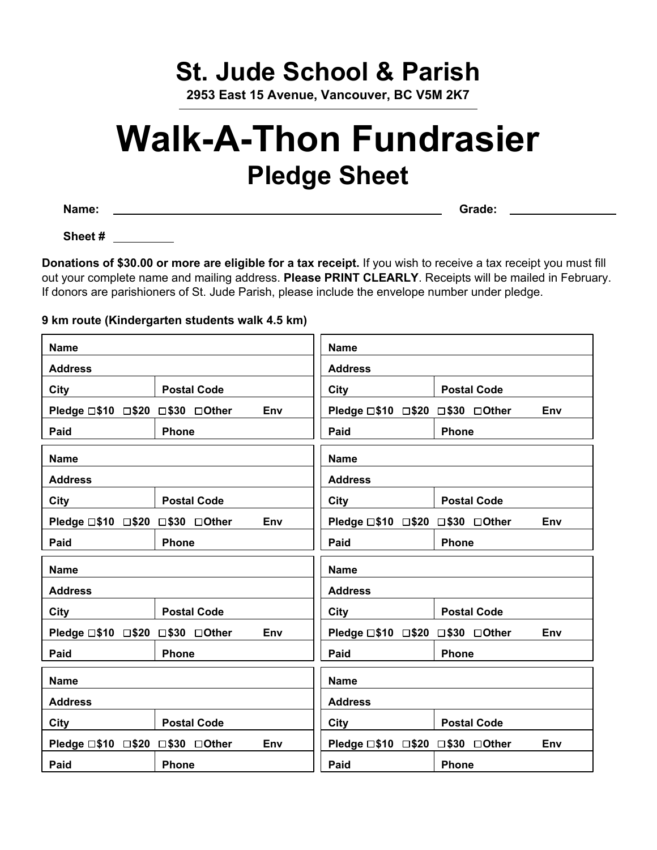## **St. Jude School & Parish**

**2953 East 15 Avenue, Vancouver, BC V5M 2K7**

## **Walk-A-Thon Fundrasier Pledge Sheet**

**Name: Grade:**

**Sheet #**

**Donations of \$30.00 or more are eligible for a tax receipt.** If you wish to receive a tax receipt you must fill out your complete name and mailing address. **Please PRINT CLEARLY**. Receipts will be mailed in February. If donors are parishioners of St. Jude Parish, please include the envelope number under pledge.

## **9 km route (Kindergarten students walk 4.5 km)**

| <b>Name</b>                            |                    | <b>Name</b>    |                                 |                    |  |
|----------------------------------------|--------------------|----------------|---------------------------------|--------------------|--|
| <b>Address</b>                         |                    | <b>Address</b> |                                 |                    |  |
| City                                   | <b>Postal Code</b> |                | City                            | <b>Postal Code</b> |  |
| Pledge □\$10 □\$20 □\$30 □Other        |                    | Env            | Pledge □\$10 □\$20 □\$30 □Other | Env                |  |
| Paid                                   | <b>Phone</b>       |                | Paid                            | <b>Phone</b>       |  |
| <b>Name</b>                            |                    | <b>Name</b>    |                                 |                    |  |
| <b>Address</b>                         |                    | <b>Address</b> |                                 |                    |  |
| <b>City</b>                            | <b>Postal Code</b> |                | City                            | <b>Postal Code</b> |  |
| Pledge □\$10 □\$20 □\$30 □Other        |                    | Env            | Pledge □\$10 □\$20 □\$30 □Other | Env                |  |
| Paid                                   | Phone              |                | Paid                            | Phone              |  |
| <b>Name</b>                            |                    |                | <b>Name</b>                     |                    |  |
| <b>Address</b>                         |                    | <b>Address</b> |                                 |                    |  |
| City                                   | <b>Postal Code</b> |                | City                            | <b>Postal Code</b> |  |
| Pledge □\$10 □\$20 □\$30 □Other<br>Env |                    |                |                                 |                    |  |
|                                        |                    |                | Pledge □\$10 □\$20 □\$30 □Other | Env                |  |
| Paid                                   | <b>Phone</b>       |                | Paid                            | Phone              |  |
| <b>Name</b>                            |                    |                | <b>Name</b>                     |                    |  |
| <b>Address</b>                         |                    |                | <b>Address</b>                  |                    |  |
| City                                   | <b>Postal Code</b> |                | City                            | <b>Postal Code</b> |  |
| Pledge □\$10 □\$20 □\$30 □Other        |                    | Env            | Pledge □\$10 □\$20 □\$30 □Other | Env                |  |